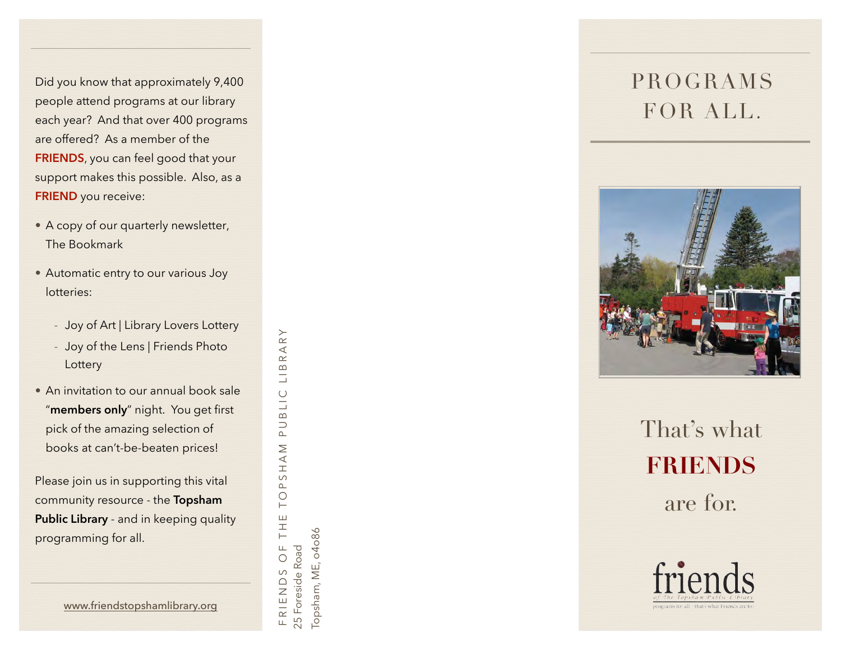Did you know that approximately 9,400 people attend programs at our library each year? And that over 400 programs are offered? As a member of the **FRIENDS**, you can feel good that your support makes this possible. Also, as a **FRIEND** you receive:<br>• A copy of our quarterly newsletter,

- The Bookmark
- Automatic entry to our various Joy lotteries:
	- Joy of Art | Library Lovers Lottery
	- Joy of the Lens | Friends Photo **Lottery**
- An invitation to our annual book sale "**members only**" night. You get first pick of the amazing selection of books at can't-be-beaten prices!

Please join us in supporting this vital community resource - the **Topsham Public Library** - and in keeping quality programming for all.

RARY FRIENDS OF THE TOPSHAM PUBLIC LIBRARY  $\infty$ Ξ BLIC  $\overline{D}$  $\begin{array}{c}\n\hline\n\text{A} & \text{N}\n\end{array}$  $\circ$  $\Delta$  $\bigcirc$  $\vdash$ THE<sub>1</sub>  $\sqcup$ 25 Foreside Road 25 Foreside Road  $\circ$  $\circ$ FRIEND

Topsham, ME, o4o86 Topsham, ME, 04086 PROGRAMS FOR ALL .



That's what **FRIENDS** are for.



[www.friendstopshamlibrary.org](http://www.friendstopshamlibrary.org)